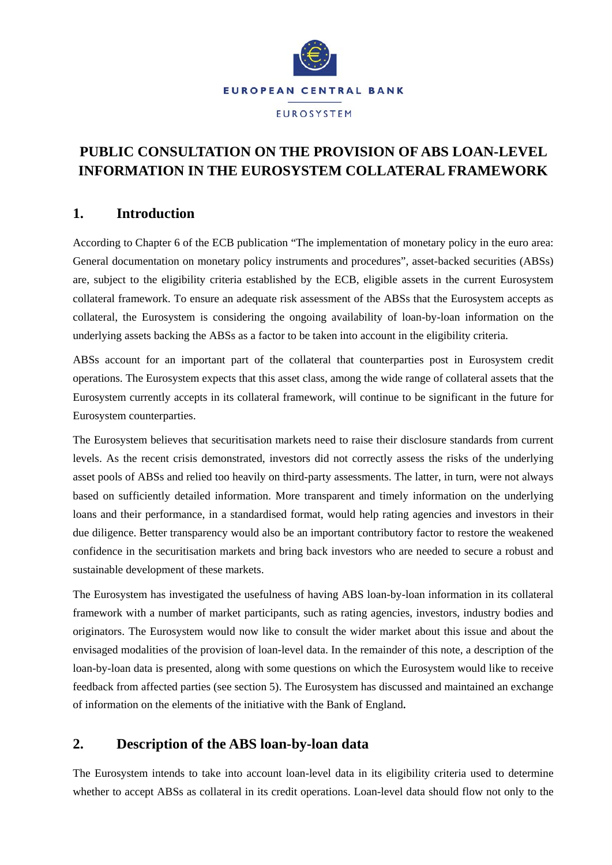

# **PUBLIC CONSULTATION ON THE PROVISION OF ABS LOAN-LEVEL INFORMATION IN THE EUROSYSTEM COLLATERAL FRAMEWORK**

### **1. Introduction**

According to Chapter 6 of the ECB publication "The implementation of monetary policy in the euro area: General documentation on monetary policy instruments and procedures", asset-backed securities (ABSs) are, subject to the eligibility criteria established by the ECB, eligible assets in the current Eurosystem collateral framework. To ensure an adequate risk assessment of the ABSs that the Eurosystem accepts as collateral, the Eurosystem is considering the ongoing availability of loan-by-loan information on the underlying assets backing the ABSs as a factor to be taken into account in the eligibility criteria.

ABSs account for an important part of the collateral that counterparties post in Eurosystem credit operations. The Eurosystem expects that this asset class, among the wide range of collateral assets that the Eurosystem currently accepts in its collateral framework, will continue to be significant in the future for Eurosystem counterparties.

The Eurosystem believes that securitisation markets need to raise their disclosure standards from current levels. As the recent crisis demonstrated, investors did not correctly assess the risks of the underlying asset pools of ABSs and relied too heavily on third-party assessments. The latter, in turn, were not always based on sufficiently detailed information. More transparent and timely information on the underlying loans and their performance, in a standardised format, would help rating agencies and investors in their due diligence. Better transparency would also be an important contributory factor to restore the weakened confidence in the securitisation markets and bring back investors who are needed to secure a robust and sustainable development of these markets.

The Eurosystem has investigated the usefulness of having ABS loan-by-loan information in its collateral framework with a number of market participants, such as rating agencies, investors, industry bodies and originators. The Eurosystem would now like to consult the wider market about this issue and about the envisaged modalities of the provision of loan-level data. In the remainder of this note, a description of the loan-by-loan data is presented, along with some questions on which the Eurosystem would like to receive feedback from affected parties (see section 5). The Eurosystem has discussed and maintained an exchange of information on the elements of the initiative with the Bank of England*.*

### **2. Description of the ABS loan-by-loan data**

The Eurosystem intends to take into account loan-level data in its eligibility criteria used to determine whether to accept ABSs as collateral in its credit operations. Loan-level data should flow not only to the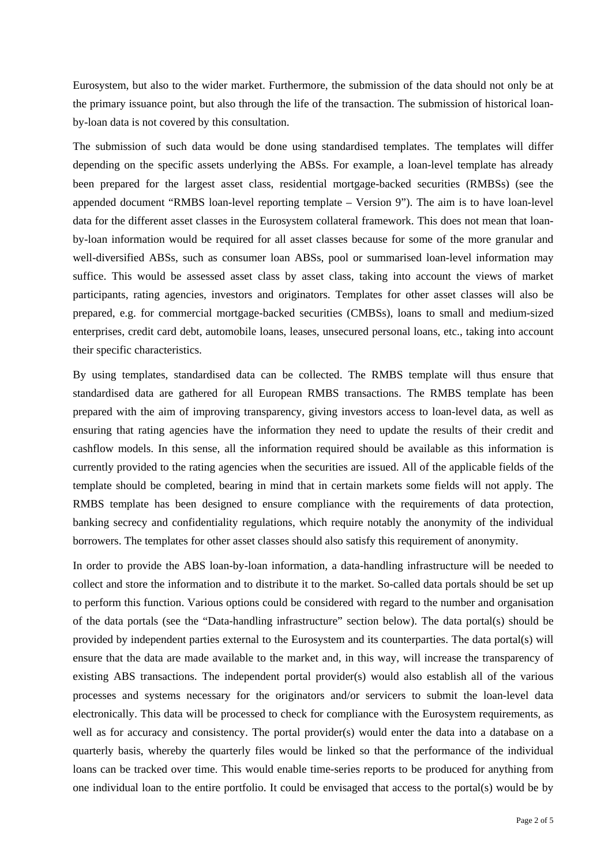Eurosystem, but also to the wider market. Furthermore, the submission of the data should not only be at the primary issuance point, but also through the life of the transaction. The submission of historical loanby-loan data is not covered by this consultation.

The submission of such data would be done using standardised templates. The templates will differ depending on the specific assets underlying the ABSs. For example, a loan-level template has already been prepared for the largest asset class, residential mortgage-backed securities (RMBSs) (see the appended document "RMBS loan-level reporting template – Version 9"). The aim is to have loan-level data for the different asset classes in the Eurosystem collateral framework. This does not mean that loanby-loan information would be required for all asset classes because for some of the more granular and well-diversified ABSs, such as consumer loan ABSs, pool or summarised loan-level information may suffice. This would be assessed asset class by asset class, taking into account the views of market participants, rating agencies, investors and originators. Templates for other asset classes will also be prepared, e.g. for commercial mortgage-backed securities (CMBSs), loans to small and medium-sized enterprises, credit card debt, automobile loans, leases, unsecured personal loans, etc., taking into account their specific characteristics.

By using templates, standardised data can be collected. The RMBS template will thus ensure that standardised data are gathered for all European RMBS transactions. The RMBS template has been prepared with the aim of improving transparency, giving investors access to loan-level data, as well as ensuring that rating agencies have the information they need to update the results of their credit and cashflow models. In this sense, all the information required should be available as this information is currently provided to the rating agencies when the securities are issued. All of the applicable fields of the template should be completed, bearing in mind that in certain markets some fields will not apply. The RMBS template has been designed to ensure compliance with the requirements of data protection, banking secrecy and confidentiality regulations, which require notably the anonymity of the individual borrowers. The templates for other asset classes should also satisfy this requirement of anonymity.

In order to provide the ABS loan-by-loan information, a data-handling infrastructure will be needed to collect and store the information and to distribute it to the market. So-called data portals should be set up to perform this function. Various options could be considered with regard to the number and organisation of the data portals (see the "Data-handling infrastructure" section below). The data portal(s) should be provided by independent parties external to the Eurosystem and its counterparties. The data portal(s) will ensure that the data are made available to the market and, in this way, will increase the transparency of existing ABS transactions. The independent portal provider(s) would also establish all of the various processes and systems necessary for the originators and/or servicers to submit the loan-level data electronically. This data will be processed to check for compliance with the Eurosystem requirements, as well as for accuracy and consistency. The portal provider(s) would enter the data into a database on a quarterly basis, whereby the quarterly files would be linked so that the performance of the individual loans can be tracked over time. This would enable time-series reports to be produced for anything from one individual loan to the entire portfolio. It could be envisaged that access to the portal(s) would be by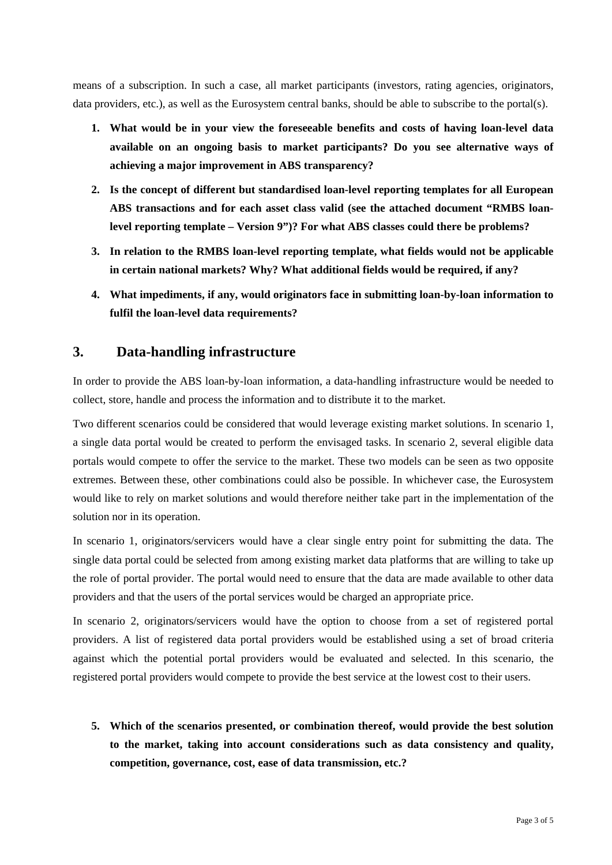means of a subscription. In such a case, all market participants (investors, rating agencies, originators, data providers, etc.), as well as the Eurosystem central banks, should be able to subscribe to the portal(s).

- **1. What would be in your view the foreseeable benefits and costs of having loan-level data available on an ongoing basis to market participants? Do you see alternative ways of achieving a major improvement in ABS transparency?**
- **2. Is the concept of different but standardised loan-level reporting templates for all European ABS transactions and for each asset class valid (see the attached document "RMBS loanlevel reporting template – Version 9")? For what ABS classes could there be problems?**
- **3. In relation to the RMBS loan-level reporting template, what fields would not be applicable in certain national markets? Why? What additional fields would be required, if any?**
- **4. What impediments, if any, would originators face in submitting loan-by-loan information to fulfil the loan-level data requirements?**

### **3. Data-handling infrastructure**

In order to provide the ABS loan-by-loan information, a data-handling infrastructure would be needed to collect, store, handle and process the information and to distribute it to the market.

Two different scenarios could be considered that would leverage existing market solutions. In scenario 1, a single data portal would be created to perform the envisaged tasks. In scenario 2, several eligible data portals would compete to offer the service to the market. These two models can be seen as two opposite extremes. Between these, other combinations could also be possible. In whichever case, the Eurosystem would like to rely on market solutions and would therefore neither take part in the implementation of the solution nor in its operation.

In scenario 1, originators/servicers would have a clear single entry point for submitting the data. The single data portal could be selected from among existing market data platforms that are willing to take up the role of portal provider. The portal would need to ensure that the data are made available to other data providers and that the users of the portal services would be charged an appropriate price.

In scenario 2, originators/servicers would have the option to choose from a set of registered portal providers. A list of registered data portal providers would be established using a set of broad criteria against which the potential portal providers would be evaluated and selected. In this scenario, the registered portal providers would compete to provide the best service at the lowest cost to their users.

**5. Which of the scenarios presented, or combination thereof, would provide the best solution to the market, taking into account considerations such as data consistency and quality, competition, governance, cost, ease of data transmission, etc.?**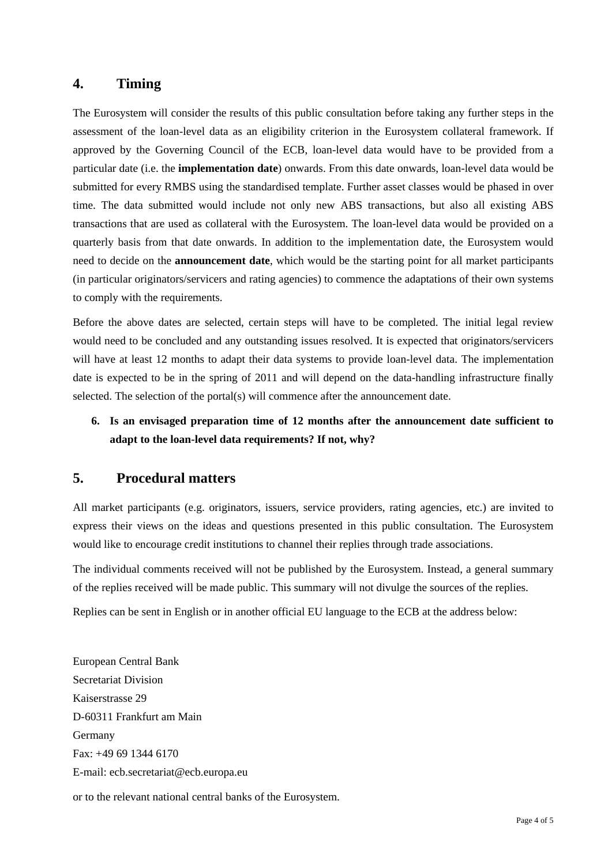#### **4. Timing**

The Eurosystem will consider the results of this public consultation before taking any further steps in the assessment of the loan-level data as an eligibility criterion in the Eurosystem collateral framework. If approved by the Governing Council of the ECB, loan-level data would have to be provided from a particular date (i.e. the **implementation date**) onwards. From this date onwards, loan-level data would be submitted for every RMBS using the standardised template. Further asset classes would be phased in over time. The data submitted would include not only new ABS transactions, but also all existing ABS transactions that are used as collateral with the Eurosystem. The loan-level data would be provided on a quarterly basis from that date onwards. In addition to the implementation date, the Eurosystem would need to decide on the **announcement date**, which would be the starting point for all market participants (in particular originators/servicers and rating agencies) to commence the adaptations of their own systems to comply with the requirements.

Before the above dates are selected, certain steps will have to be completed. The initial legal review would need to be concluded and any outstanding issues resolved. It is expected that originators/servicers will have at least 12 months to adapt their data systems to provide loan-level data. The implementation date is expected to be in the spring of 2011 and will depend on the data-handling infrastructure finally selected. The selection of the portal(s) will commence after the announcement date.

## **6. Is an envisaged preparation time of 12 months after the announcement date sufficient to adapt to the loan-level data requirements? If not, why?**

### **5. Procedural matters**

All market participants (e.g. originators, issuers, service providers, rating agencies, etc.) are invited to express their views on the ideas and questions presented in this public consultation. The Eurosystem would like to encourage credit institutions to channel their replies through trade associations.

The individual comments received will not be published by the Eurosystem. Instead, a general summary of the replies received will be made public. This summary will not divulge the sources of the replies.

Replies can be sent in English or in another official EU language to the ECB at the address below:

European Central Bank Secretariat Division Kaiserstrasse 29 D-60311 Frankfurt am Main Germany Fax: +49 69 1344 6170 E-mail: ecb.secretariat@ecb.europa.eu

or to the relevant national central banks of the Eurosystem.